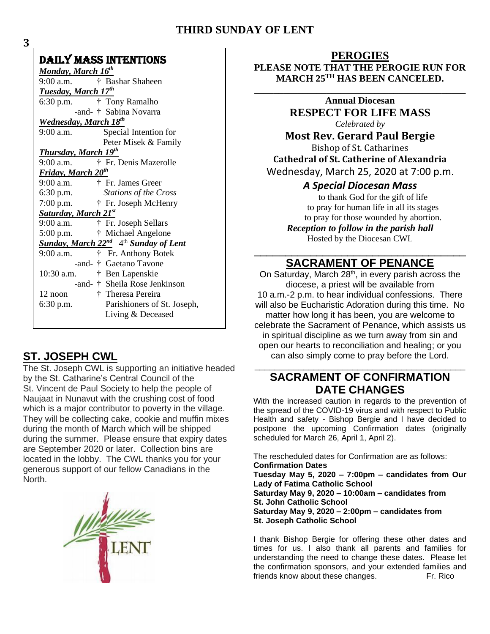## **THIRD SUNDAY OF LENT**

## DAILY MASS INTENTIONS

| <u>Monday, March 16th</u>                              |                               |
|--------------------------------------------------------|-------------------------------|
| 9:00 a.m.                                              | † Bashar Shaheen              |
| <b>Tuesday, March 17th</b>                             |                               |
| 6:30 p.m. $\uparrow$ Tony Ramalho                      |                               |
|                                                        | -and- † Sabina Novarra        |
| Wednesday, March 18 <sup>th</sup>                      |                               |
| $9:00$ a.m.                                            | Special Intention for         |
|                                                        | Peter Misek & Family          |
| Thursday, March 19th                                   |                               |
| 9:00 a.m.                                              | † Fr. Denis Mazerolle         |
| <b>Friday, March 20th</b>                              |                               |
| 9:00 a.m. $\uparrow$ Fr. James Greer                   |                               |
| 6:30 p.m.                                              | Stations of the Cross         |
| $7:00$ p.m.                                            | † Fr. Joseph McHenry          |
| Saturday, March 21st                                   |                               |
| 9:00 a.m.                                              | † Fr. Joseph Sellars          |
| $5:00$ p.m.                                            | † Michael Angelone            |
| Sunday, March $22^{nd}$ 4 <sup>th</sup> Sunday of Lent |                               |
| $9:00$ a.m.                                            | † Fr. Anthony Botek           |
|                                                        | -and- † Gaetano Tavone        |
| $10:30$ a.m.                                           | † Ben Lapenskie               |
|                                                        | -and- † Sheila Rose Jenkinson |
| 12 noon                                                | † Theresa Pereira             |
| $6:30$ p.m.                                            | Parishioners of St. Joseph,   |
|                                                        | Living & Deceased             |
|                                                        |                               |

# **ST. JOSEPH CWL**

The St. Joseph CWL is supporting an initiative headed by the St. Catharine's Central Council of the St. Vincent de Paul Society to help the people of Naujaat in Nunavut with the crushing cost of food which is a major contributor to poverty in the village. They will be collecting cake, cookie and muffin mixes during the month of March which will be shipped during the summer. Please ensure that expiry dates are September 2020 or later. Collection bins are located in the lobby. The CWL thanks you for your generous support of our fellow Canadians in the North.



### **PEROGIES PLEASE NOTE THAT THE PEROGIE RUN FOR MARCH 25TH HAS BEEN CANCELED.**

**\_\_\_\_\_\_\_\_\_\_\_\_\_\_\_\_\_\_\_\_\_\_\_\_\_\_\_\_\_\_\_\_\_\_\_\_\_\_\_\_\_\_\_\_ Annual Diocesan RESPECT FOR LIFE MASS** *Celebrated by* **Most Rev. Gerard Paul Bergie** Bishop of St. Catharines **Cathedral of St. Catherine of Alexandria** Wednesday, March 25, 2020 at 7:00 p.m. *A Special Diocesan Mass* to thank God for the gift of life

to pray for human life in all its stages to pray for those wounded by abortion. *Reception to follow in the parish hall* Hosted by the Diocesan CWL

## \_\_\_\_\_\_\_\_\_\_\_\_\_\_\_\_\_\_\_\_\_\_\_\_\_\_\_\_\_\_\_\_\_\_ **SACRAMENT OF PENANCE**

On Saturday, March  $28<sup>th</sup>$ , in every parish across the diocese, a priest will be available from 10 a.m.-2 p.m. to hear individual confessions. There will also be Eucharistic Adoration during this time. No matter how long it has been, you are welcome to celebrate the Sacrament of Penance, which assists us in spiritual discipline as we turn away from sin and open our hearts to reconciliation and healing; or you can also simply come to pray before the Lord.

## **SACRAMENT OF CONFIRMATION DATE CHANGES**

\_\_\_\_\_\_\_\_\_\_\_\_\_\_\_\_\_\_\_\_\_\_\_\_\_\_\_\_\_\_\_\_\_\_\_\_\_\_\_\_\_\_\_

With the increased caution in regards to the prevention of the spread of the COVID-19 virus and with respect to Public Health and safety - Bishop Bergie and I have decided to postpone the upcoming Confirmation dates (originally scheduled for March 26, April 1, April 2).

The rescheduled dates for Confirmation are as follows: **Confirmation Dates Tuesday May 5, 2020 – 7:00pm – candidates from Our Lady of Fatima Catholic School Saturday May 9, 2020 – 10:00am – candidates from St. John Catholic School Saturday May 9, 2020 – 2:00pm – candidates from St. Joseph Catholic School** 

I thank Bishop Bergie for offering these other dates and times for us. I also thank all parents and families for understanding the need to change these dates. Please let the confirmation sponsors, and your extended families and friends know about these changes. Fr. Rico

**3**